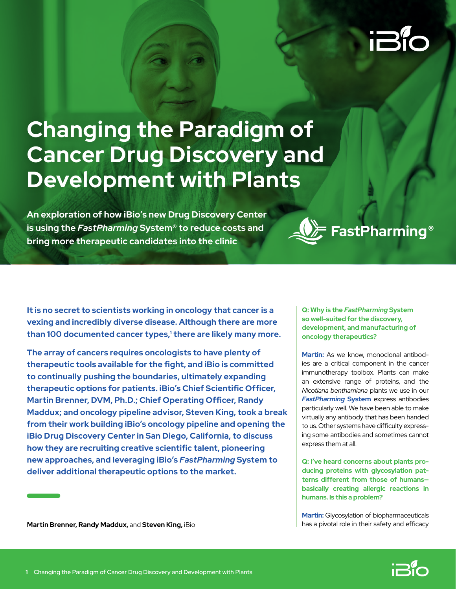# **Changing the Paradigm of Cancer Drug Discovery and Development with Plants**

**An exploration of how iBio's new Drug Discovery Center is using the** *FastPharming* **System® to reduce costs and bring more therapeutic candidates into the clinic**



**It is no secret to scientists working in oncology that cancer is a vexing and incredibly diverse disease. Although there are more**  than 100 documented cancer types,<sup>1</sup> there are likely many more.

**The array of cancers requires oncologists to have plenty of therapeutic tools available for the fight, and iBio is committed to continually pushing the boundaries, ultimately expanding therapeutic options for patients. iBio's Chief Scientific Officer, Martin Brenner, DVM, Ph.D.; Chief Operating Officer, Randy Maddux; and oncology pipeline advisor, Steven King, took a break from their work building iBio's oncology pipeline and opening the iBio Drug Discovery Center in San Diego, California, to discuss how they are recruiting creative scientific talent, pioneering new approaches, and leveraging iBio's** *FastPharming* **System to deliver additional therapeutic options to the market.**

**Q: Why is the** *FastPharming* **System so well-suited for the discovery, development, and manufacturing of oncology therapeutics?**

**Martin:** As we know, monoclonal antibodies are a critical component in the cancer immunotherapy toolbox. Plants can make an extensive range of proteins, and the *Nicotiana benthamiana* plants we use in our *[FastPharming](https://ibioinc.com/technologies/fastpharming/)* **System** express antibodies particularly well. We have been able to make virtually any antibody that has been handed to us. Other systems have difficulty expressing some antibodies and sometimes cannot express them at all.

**Q: I've heard concerns about plants producing proteins with glycosylation patterns different from those of humans basically creating allergic reactions in humans. Is this a problem?**

**Martin:** Glycosylation of biopharmaceuticals has a pivotal role in their safety and efficacy

**Martin Brenner, Randy Maddux,** and **Steven King,** iBio

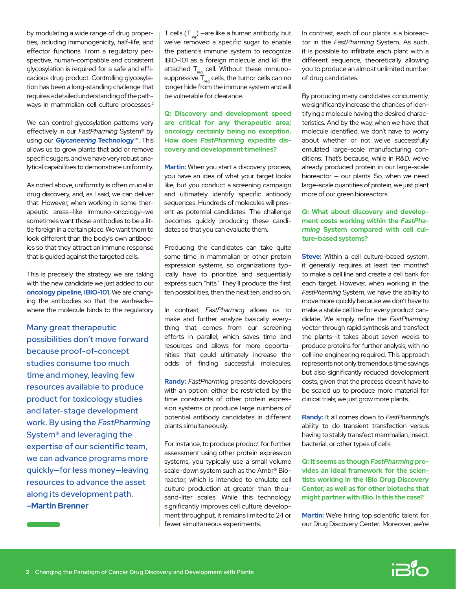by modulating a wide range of drug properties, including immunogenicity, half-life, and effector functions. From a regulatory perspective, human-compatible and consistent glycosylation is required for a safe and efficacious drug product. Controlling glycosylation has been a long-standing challenge that requires a detailed understanding of the pathways in mammalian cell culture processes.<sup>2</sup>

We can control glycosylation patterns very effectively in our *FastPharming* System® by using our *Glycaneering* **[Technology™](https://ibioinc.com/technologies/glycaneering/)**. This allows us to grow plants that add or remove specific sugars, and we have very robust analytical capabilities to demonstrate uniformity.

As noted above, uniformity is often crucial in drug discovery, and, as I said, we can deliver that. However, when working in some therapeutic areas—like immuno-oncology—we sometimes want those antibodies to be a little foreign in a certain place. We want them to look different than the body's own antibodies so that they attract an immune response that is guided against the targeted cells.

This is precisely the strategy we are taking with the new candidate we just added to our **[oncology pipeline,](https://ibioinc.com/pipeline/) [IBIO-101](https://ibioinc.com/vaccines/ibio-101/ )**. We are changing the antibodies so that the warheads where the molecule binds to the regulatory

Many great therapeutic possibilities don't move forward because proof-of-concept studies consume too much time and money, leaving few resources available to produce product for toxicology studies and later-stage development work. By using the *FastPharming*  System® and leveraging the expertise of our scientific team, we can advance programs more quickly—for less money—leaving resources to advance the asset along its development path. **–Martin Brenner**

T cells  $(T_{\text{req}})$  —are like a human antibody, but we've removed a specific sugar to enable the patient's immune system to recognize IBIO-101 as a foreign molecule and kill the attached  $T_{rec}$  cell. Without these immunosuppressive  $\overline{T}_{\text{rea}}$  cells, the tumor cells can no longer hide from the immune system and will be vulnerable for clearance.

**Q: Discovery and development speed are critical for any therapeutic area; oncology certainly being no exception. How does** *FastPharming* **expedite discovery and development timelines?**

**Martin:** When you start a discovery process, you have an idea of what your target looks like, but you conduct a screening campaign and ultimately identify specific antibody sequences. Hundreds of molecules will present as potential candidates. The challenge becomes quickly producing these candidates so that you can evaluate them.

Producing the candidates can take quite some time in mammalian or other protein expression systems, so organizations typically have to prioritize and sequentially express such "hits." They'll produce the first ten possibilities, then the next ten, and so on.

In contrast, *FastPharming* allows us to make and further analyze basically everything that comes from our screening efforts in parallel, which saves time and resources and allows for more opportunities that could ultimately increase the odds of finding successful molecules.

**Randy:** *FastPharming* presents developers with an option: either be restricted by the time constraints of other protein expression systems or produce large numbers of potential antibody candidates in different plants simultaneously.

For instance, to produce product for further assessment using other protein expression systems, you typically use a small volume scale-down system such as the Ambr® Bioreactor, which is intended to emulate cell culture production at greater than thousand-liter scales. While this technology significantly improves cell culture development throughput, it remains limited to 24 or fewer simultaneous experiments.

In contrast, each of our plants is a bioreactor in the *FastPharming* System. As such, it is possible to infiltrate each plant with a different sequence, theoretically allowing you to produce an almost unlimited number of drug candidates.

By producing many candidates concurrently, we significantly increase the chances of identifying a molecule having the desired characteristics. And by the way, when we have that molecule identified, we don't have to worry about whether or not we've successfully emulated large-scale manufacturing conditions. That's because, while in R&D, we've already produced protein in our large-scale bioreactor — our plants. So, when we need large-scale quantities of protein, we just plant more of our green bioreactors.

# **Q: What about discovery and development costs working within the** *FastPharming* **System compared with cell culture-based systems?**

**Steve:** Within a cell culture-based system, it generally requires at least ten months\* to make a cell line and create a cell bank for each target. However, when working in the *FastPharming* System, we have the ability to move more quickly because we don't have to make a stable cell line for every product candidate. We simply refine the *FastPharming* vector through rapid synthesis and transfect the plants—it takes about seven weeks to produce proteins for further analysis, with no cell line engineering required. This approach represents not only tremendous time savings but also significantly reduced development costs, given that the process doesn't have to be scaled up to produce more material for clinical trials; we just grow more plants.

**Randy:** It all comes down to *FastPharming*'s ability to do transient transfection versus having to stably transfect mammalian, insect, bacterial, or other types of cells.

**Q: It seems as though** *FastPharming* **provides an ideal framework for the scientists working in the iBio Drug Discovery Center, as well as for other biotechs that might partner with iBio. Is this the case?**

**Martin:** We're hiring top scientific talent for our Drug Discovery Center. Moreover, we're

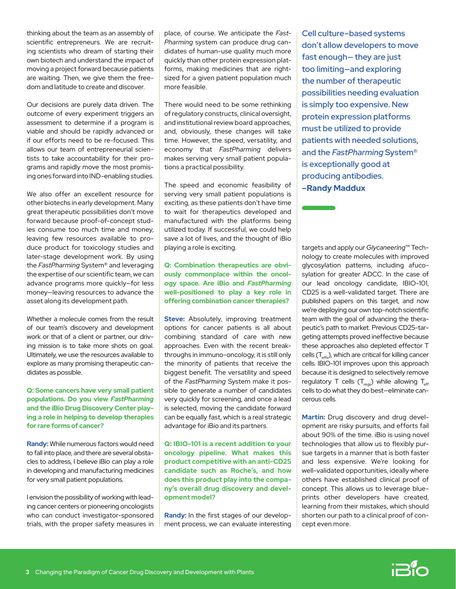thinking about the team as an assembly of scientific entrepreneurs. We are recruiting scientists who dream of starting their own biotech and understand the impact of moving a project forward because patients are waiting. Then, we give them the freedom and latitude to create and discover.

Our decisions are purely data driven. The outcome of every experiment triggers an assessment to determine if a program is viable and should be rapidly advanced or if our efforts need to be re-focused. This allows our team of entrepreneurial scientists to take accountability for their programs and rapidly move the most promising ones forward into IND-enabling studies.

We also offer an excellent resource for other biotechs in early development. Many great therapeutic possibilities don't move forward because proof-of-concept studies consume too much time and money, leaving few resources available to produce product for toxicology studies and later-stage development work. By using the *FastPharming* System® and leveraging the expertise of our scientific team, we can advance programs more quickly—for less money—leaving resources to advance the asset along its development path.

Whether a molecule comes from the result of our team's discovery and development work or that of a client or partner, our driving mission is to take more shots on goal. Ultimately, we use the resources available to explore as many promising therapeutic candidates as possible.

# **Q: Some cancers have very small patient populations. Do you view** *FastPharming* **and the iBio Drug Discovery Center playing a role in helping to develop therapies for rare forms of cancer?**

**Randy:** While numerous factors would need to fall into place, and there are several obstacles to address, I believe iBio can play a role in developing and manufacturing medicines for very small patient populations.

I envision the possibility of working with leading cancer centers or pioneering oncologists who can conduct investigator-sponsored trials, with the proper safety measures in place, of course. We anticipate the *Fast-Pharming* system can produce drug candidates of human-use quality much more quickly than other protein expression platforms, making medicines that are rightsized for a given patient population much more feasible.

There would need to be some rethinking of regulatory constructs, clinical oversight, and institutional review board approaches, and, obviously, these changes will take time. However, the speed, versatility, and economy that *FastPharming* delivers makes serving very small patient populations a practical possibility.

The speed and economic feasibility of serving very small patient populations is exciting, as these patients don't have time to wait for therapeutics developed and manufactured with the platforms being utilized today. If successful, we could help save a lot of lives, and the thought of iBio playing a role is exciting.

**Q: Combination therapeutics are obviously commonplace within the oncology space. Are iBio and** *FastPharming*  **well-positioned to play a key role in offering combination cancer therapies?**

**Steve:** Absolutely, improving treatment options for cancer patients is all about combining standard of care with new approaches. Even with the recent breakthroughs in immuno-oncology, it is still only the minority of patients that receive the biggest benefit. The versatility and speed of the *FastPharming* System make it possible to generate a number of candidates very quickly for screening, and once a lead is selected, moving the candidate forward can be equally fast, which is a real strategic advantage for iBio and its partners.

**Q: IBIO-101 is a recent addition to your oncology pipeline. What makes this product competitive with an anti-CD25 candidate such as Roche's, and how does this product play into the company's overall drug discovery and development model?** 

**Randy:** In the first stages of our development process, we can evaluate interesting Cell culture–based systems don't allow developers to move fast enough— they are just too limiting—and exploring the number of therapeutic possibilities needing evaluation is simply too expensive. New protein expression platforms must be utilized to provide patients with needed solutions, and the *FastPharming* System® is exceptionally good at producing antibodies. **–Randy Maddux**

targets and apply our *Glycaneering*™ Technology to create molecules with improved glycosylation patterns, including afucosylation for greater ADCC. In the case of our lead oncology candidate, IBIO-101, CD25 is a well-validated target. There are published papers on this target, and now we're deploying our own top-notch scientific team with the goal of advancing the therapeutic's path to market. Previous CD25-targeting attempts proved ineffective because these approaches also depleted effector T cells  $(T_{\text{eff}})$ , which are critical for killing cancer cells. IBIO-101 improves upon this approach because it is designed to selectively remove regulatory T cells  $(T_{\text{reas}})$  while allowing  $T_{\text{eff}}$ cells to do what they do best—eliminate cancerous cells.

**Martin:** Drug discovery and drug development are risky pursuits, and efforts fail about 90% of the time. iBio is using novel technologies that allow us to flexibly pursue targets in a manner that is both faster and less expensive. We're looking for well-validated opportunities, ideally where others have established clinical proof of concept. This allows us to leverage blueprints other developers have created, learning from their mistakes, which should shorten our path to a clinical proof of concept even more.